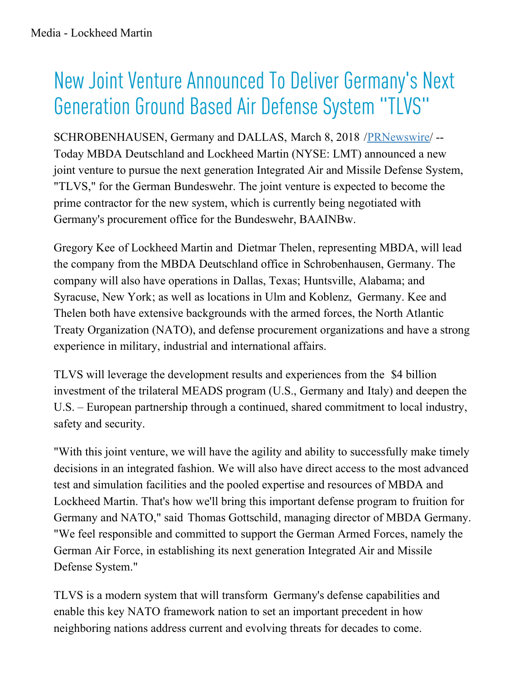## New Joint Venture Announced To Deliver Germany ' s Next Generation Ground Based Air Defense System "TLVS"

SCHROBENHAUSEN, Germany and DALLAS, March 8, 2018 /[PRNewswire](http://www.prnewswire.com/)/ -- Today MBDA Deutschland and Lockheed Martin (NYSE: LMT) announced a new joint venture to pursue the next generation Integrated Air and Missile Defense System, "TLVS," for the German Bundeswehr. The joint venture is expected to become the prime contractor for the new system, which is currently being negotiated with Germany's procurement office for the Bundeswehr, BAAINBw.

Gregory Kee of Lockheed Martin and Dietmar Thelen, representing MBDA, will lead the company from the MBDA Deutschland office in Schrobenhausen, Germany. The company will also have operations in Dallas, Texas; Huntsville, Alabama; and Syracuse, New York; as well as locations in Ulm and Koblenz, Germany. Kee and Thelen both have extensive backgrounds with the armed forces, the North Atlantic Treaty Organization (NATO), and defense procurement organizations and have a strong experience in military, industrial and international affairs.

TLVS will leverage the development results and experiences from the \$4 billion investment of the trilateral MEADS program (U.S., Germany and Italy) and deepen the U.S. – European partnership through a continued, shared commitment to local industry, safety and security.

"With this joint venture, we will have the agility and ability to successfully make timely decisions in an integrated fashion. We will also have direct access to the most advanced test and simulation facilities and the pooled expertise and resources of MBDA and Lockheed Martin. That's how we'll bring this important defense program to fruition for Germany and NATO," said Thomas Gottschild, managing director of MBDA Germany. "We feel responsible and committed to support the German Armed Forces, namely the German Air Force, in establishing its next generation Integrated Air and Missile Defense System."

TLVS is a modern system that will transform Germany's defense capabilities and enable this key NATO framework nation to set an important precedent in how neighboring nations address current and evolving threats for decades to come.